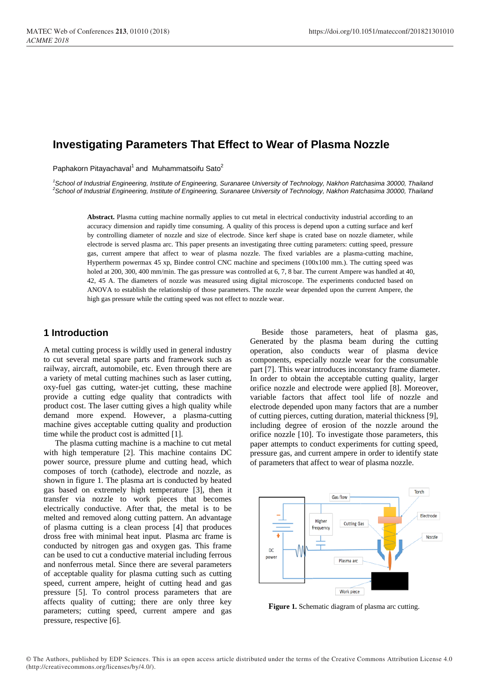# **Investigating Parameters That Effect to Wear of Plasma Nozzle**

Paphakorn Pitayachaval<sup>1</sup> and Muhammatsoifu Sato<sup>2</sup>

*1 School of Industrial Engineering, Institute of Engineering, Suranaree University of Technology, Nakhon Ratchasima 30000, Thailand 2 School of Industrial Engineering, Institute of Engineering, Suranaree University of Technology, Nakhon Ratchasima 30000, Thailand*

Abstract. Plasma cutting machine normally applies to cut metal in electrical conductivity industrial according to an accuracy dimension and rapidly time consuming. A quality of this process is depend upon a cutting surface and kerf by controlling diameter of nozzle and size of electrode. Since kerf shape is crated base on nozzle diameter, while electrode is served plasma arc. This paper presents an investigating three cutting parameters: cutting speed, pressure gas, current ampere that affect to wear of plasma nozzle. The fixed variables are a plasma-cutting machine, Hypertherm powermax 45 xp, Bindee control CNC machine and specimens (100x100 mm.). The cutting speed was holed at 200, 300, 400 mm/min. The gas pressure was controlled at 6, 7, 8 bar. The current Ampere was handled at 40, 42, 45 A. The diameters of nozzle was measured using digital microscope. The experiments conducted based on ANOVA to establish the relationship of those parameters. The nozzle wear depended upon the current Ampere, the high gas pressure while the cutting speed was not effect to nozzle wear.

# **1 Introduction**

A metal cutting process is wildly used in general industry to cut several metal spare parts and framework such as railway, aircraft, automobile, etc. Even through there are a variety of metal cutting machines such as laser cutting, oxy-fuel gas cutting, water-jet cutting, these machine provide a cutting edge quality that contradicts with product cost. The laser cutting gives a high quality while demand more expend. However, a plasma-cutting machine gives acceptable cutting quality and production time while the product cost is admitted [1].

The plasma cutting machine is a machine to cut metal with high temperature [2]. This machine contains DC power source, pressure plume and cutting head, which composes of torch (cathode), electrode and nozzle, as shown in figure 1. The plasma art is conducted by heated gas based on extremely high temperature [3], then it transfer via nozzle to work pieces that becomes electrically conductive. After that, the metal is to be melted and removed along cutting pattern. An advantage of plasma cutting is a clean process [4] that produces dross free with minimal heat input. Plasma arc frame is conducted by nitrogen gas and oxygen gas. This frame can be used to cut a conductive material including ferrous and nonferrous metal. Since there are several parameters of acceptable quality for plasma cutting such as cutting speed, current ampere, height of cutting head and gas pressure [5]. To control process parameters that are affects quality of cutting; there are only three key parameters; cutting speed, current ampere and gas pressure, respective [6].

Beside those parameters, heat of plasma gas, Generated by the plasma beam during the cutting operation, also conducts wear of plasma device components, especially nozzle wear for the consumable part [7]. This wear introduces inconstancy frame diameter. In order to obtain the acceptable cutting quality, larger orifice nozzle and electrode were applied [8]. Moreover, variable factors that affect tool life of nozzle and electrode depended upon many factors that are a number of cutting pierces, cutting duration, material thickness [9], including degree of erosion of the nozzle around the orifice nozzle [10]. To investigate those parameters, this paper attempts to conduct experiments for cutting speed, pressure gas, and current ampere in order to identify state of parameters that affect to wear of plasma nozzle.



Figure 1. Schematic diagram of plasma arc cutting.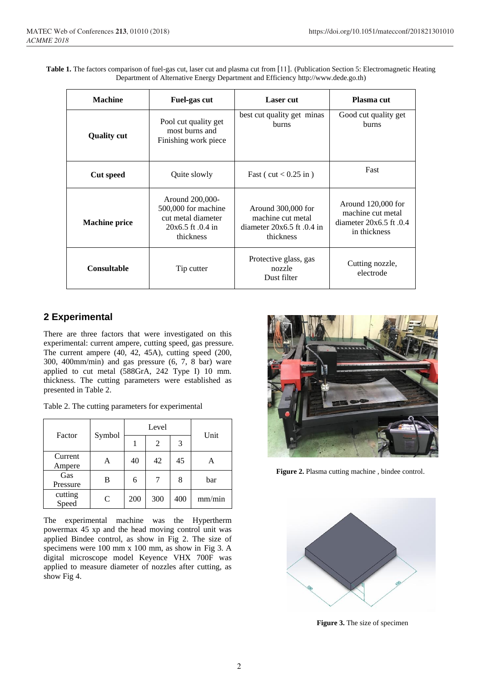|                                                                                   |  | Table 1. The factors comparison of fuel-gas cut, laser cut and plasma cut from [11]. (Publication Section 5: Electromagnetic Heating |
|-----------------------------------------------------------------------------------|--|--------------------------------------------------------------------------------------------------------------------------------------|
| Department of Alternative Energy Department and Efficiency http://www.dede.go.th) |  |                                                                                                                                      |

| <b>Machine</b><br>Fuel-gas cut                                                                                             |              | <b>Laser</b> cut                                                                       | Plasma cut                                                                               |  |
|----------------------------------------------------------------------------------------------------------------------------|--------------|----------------------------------------------------------------------------------------|------------------------------------------------------------------------------------------|--|
| Pool cut quality get<br>most burns and<br><b>Quality cut</b><br>Finishing work piece                                       |              | best cut quality get minas<br>burns                                                    | Good cut quality get<br><b>burns</b>                                                     |  |
| <b>Cut speed</b>                                                                                                           | Quite slowly |                                                                                        | Fast                                                                                     |  |
| Around 200,000-<br>500,000 for machine<br>cut metal diameter<br><b>Machine price</b><br>$20x6.5$ ft $.0.4$ in<br>thickness |              | Around 300,000 for<br>machine cut metal<br>diameter $20x6.5$ ft $.0.4$ in<br>thickness | Around $120,000$ for<br>machine cut metal<br>diameter $20x6.5$ ft $.0.4$<br>in thickness |  |
| <b>Consultable</b><br>Tip cutter                                                                                           |              | Protective glass, gas<br>nozzle<br>Dust filter                                         | Cutting nozzle,<br>electrode                                                             |  |

# **2 Experimental**

There are three factors that were investigated on this experimental: current ampere, cutting speed, gas pressure. The current ampere (40, 42, 45A), cutting speed (200, 300, 400mm/min) and gas pressure (6, 7, 8 bar) ware applied to cut metal (588GrA, 242 Type I) 10 mm. thickness. The cutting parameters were established as presented in Table 2.

Table 2. The cutting parameters for experimental

| Factor            | Symbol | Level |     |     | Unit   |
|-------------------|--------|-------|-----|-----|--------|
|                   |        |       | 2   | 3   |        |
| Current<br>Ampere | A      | 40    | 42  | 45  | А      |
| Gas<br>Pressure   | в      | 6     |     | 8   | bar    |
| cutting<br>Speed  | C      | 200   | 300 | 400 | mm/min |

The experimental machine was the Hypertherm powermax 45 xp and the head moving control unit was applied Bindee control, as show in Fig 2. The size of specimens were 100 mm x 100 mm, as show in Fig 3. A digital microscope model Keyence VHX 700F was applied to measure diameter of nozzles after cutting, as show Fig 4.



 **Figure 2.** Plasma cutting machine , bindee control.



**Figure 3.** The size of specimen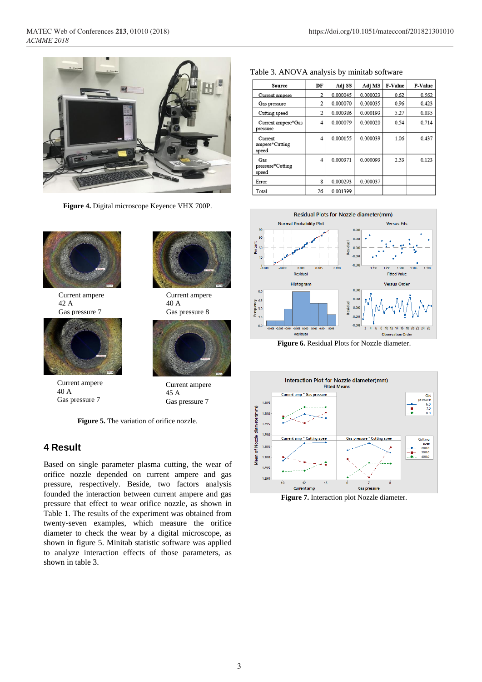

**Figure 4.** Digital microscope Keyence VHX 700P.



Current ampere 42 A Gas pressure 7



Current ampere 40 A Gas pressure 7



Current ampere 40 A Gas pressure 8

bar



Current ampere 45 A Gas pressure 7

**Figure 5.** The variation of orifice nozzle.

# **4 Result**

Based on single parameter plasma cutting, the wear of orifice nozzle depended on current ampere and gas pressure, respectively. Beside, two factors analysis founded the interaction between current ampere and gas pressure that effect to wear orifice nozzle, as shown in Table 1. The results of the experiment was obtained from twenty-seven examples, which measure the orifice diameter to check the wear by a digital microscope, as shown in figure 5. Minitab statistic software was applied to analyze interaction effects of those parameters, as shown in table 3.

| Source                             | DF             | Adj SS   | Adj MS   | F-Value | P-Value |
|------------------------------------|----------------|----------|----------|---------|---------|
| Current ampere                     | $\overline{c}$ | 0.000045 | 0.000023 | 0.62    | 0.562   |
| Gas pressure                       | 2              | 0.000070 | 0.000035 | 0.96    | 0.423   |
| Cutting speed                      | $\overline{c}$ | 0.000386 | 0.000193 | 5.27    | 0.035   |
| Current ampere*Gas<br>pressure     | 4              | 0.000079 | 0.000020 | 0.54    | 0.714   |
| Current<br>ampere*Cutting<br>speed | 4              | 0.000155 | 0.000039 | 1.06    | 0.437   |
| Gas<br>pressure*Cutting<br>speed   | 4              | 0.000371 | 0.000093 | 2.53    | 0.123   |
| Error                              | 8              | 0.000293 | 0.000037 |         |         |
| Total                              | 26             | 0.001399 |          |         |         |

#### Table 3. ANOVA analysis by minitab software



**Figure 6.** Residual Plots for Nozzle diameter.



**Figure 7.** Interaction plot Nozzle diameter.